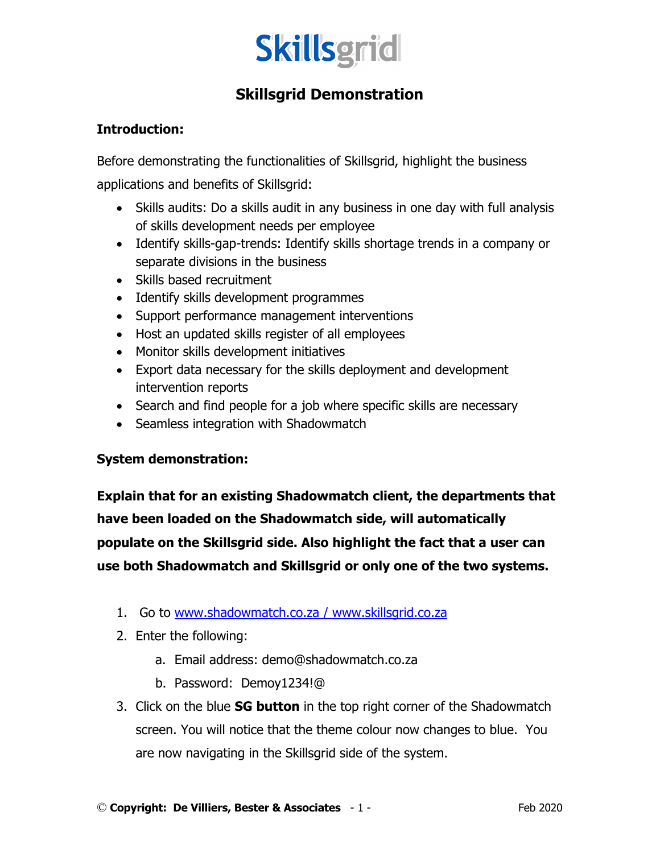

## **Skillsgrid Demonstration**

## **Introduction:**

Before demonstrating the functionalities of Skillsgrid, highlight the business applications and benefits of Skillsgrid:

- Skills audits: Do a skills audit in any business in one day with full analysis of skills development needs per employee
- Identify skills-gap-trends: Identify skills shortage trends in a company or separate divisions in the business
- Skills based recruitment
- Identify skills development programmes
- Support performance management interventions
- Host an updated skills register of all employees
- Monitor skills development initiatives
- Export data necessary for the skills deployment and development intervention reports
- Search and find people for a job where specific skills are necessary
- Seamless integration with Shadowmatch

## **System demonstration:**

**Explain that for an existing Shadowmatch client, the departments that have been loaded on the Shadowmatch side, will automatically populate on the Skillsgrid side. Also highlight the fact that a user can use both Shadowmatch and Skillsgrid or only one of the two systems.**

- 1. Go to www.shadowmatch.co.za / www.skillsgrid.co.za
- 2. Enter the following:
	- a. Email address: demo@shadowmatch.co.za
	- b. Password: Demoy1234!@
- 3. Click on the blue **SG button** in the top right corner of the Shadowmatch screen. You will notice that the theme colour now changes to blue. You are now navigating in the Skillsgrid side of the system.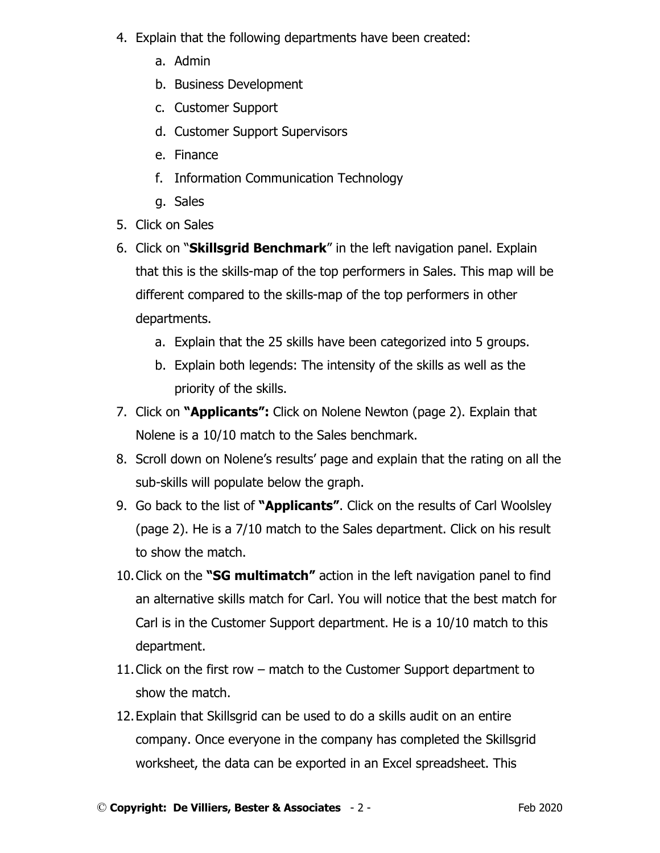- 4. Explain that the following departments have been created:
	- a. Admin
	- b. Business Development
	- c. Customer Support
	- d. Customer Support Supervisors
	- e. Finance
	- f. Information Communication Technology
	- g. Sales
- 5. Click on Sales
- 6. Click on "**Skillsgrid Benchmark**" in the left navigation panel. Explain that this is the skills-map of the top performers in Sales. This map will be different compared to the skills-map of the top performers in other departments.
	- a. Explain that the 25 skills have been categorized into 5 groups.
	- b. Explain both legends: The intensity of the skills as well as the priority of the skills.
- 7. Click on **"Applicants":** Click on Nolene Newton (page 2). Explain that Nolene is a 10/10 match to the Sales benchmark.
- 8. Scroll down on Nolene's results' page and explain that the rating on all the sub-skills will populate below the graph.
- 9. Go back to the list of **"Applicants"**. Click on the results of Carl Woolsley (page 2). He is a 7/10 match to the Sales department. Click on his result to show the match.
- 10.Click on the **"SG multimatch"** action in the left navigation panel to find an alternative skills match for Carl. You will notice that the best match for Carl is in the Customer Support department. He is a 10/10 match to this department.
- 11.Click on the first row match to the Customer Support department to show the match.
- 12.Explain that Skillsgrid can be used to do a skills audit on an entire company. Once everyone in the company has completed the Skillsgrid worksheet, the data can be exported in an Excel spreadsheet. This